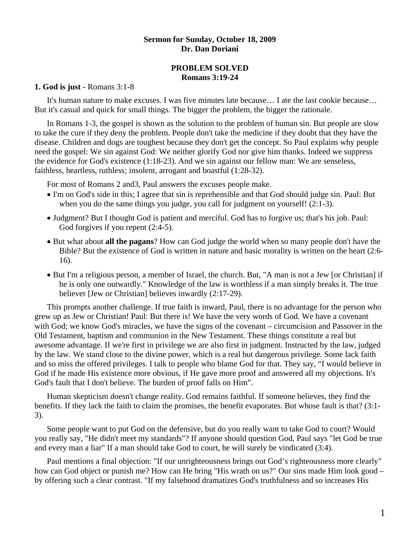### **Sermon for Sunday, October 18, 2009 Dr. Dan Doriani**

## **PROBLEM SOLVED Romans 3:19-24**

#### **1. God is just -** Romans 3:1-8

 It's human nature to make excuses. I was five minutes late because… I ate the last cookie because… But it's casual and quick for small things. The bigger the problem, the bigger the rationale.

 In Romans 1-3, the gospel is shown as the solution to the problem of human sin. But people are slow to take the cure if they deny the problem. People don't take the medicine if they doubt that they have the disease. Children and dogs are toughest because they don't get the concept. So Paul explains why people need the gospel: We sin against God: We neither glorify God nor give him thanks. Indeed we suppress the evidence for God's existence (1:18-23). And we sin against our fellow man: We are senseless, faithless, heartless, ruthless; insolent, arrogant and boastful (1:28-32).

For most of Romans 2 and3, Paul answers the excuses people make.

- I'm on God's side in this; I agree that sin is reprehensible and that God should judge sin. Paul: But when you do the same things you judge, you call for judgment on yourself! (2:1-3).
- Judgment? But I thought God is patient and merciful. God has to forgive us; that's his job. Paul: God forgives if you repent (2:4-5).
- But what about **all the pagans**? How can God judge the world when so many people don't have the Bible? But the existence of God is written in nature and basic morality is written on the heart (2:6- 16).
- But I'm a religious person, a member of Israel, the church. But, "A man is not a Jew [or Christian] if he is only one outwardly." Knowledge of the law is worthless if a man simply breaks it. The true believer [Jew or Christian] believes inwardly (2:17-29).

 This prompts another challenge. If true faith is inward, Paul, there is no advantage for the person who grew up as Jew or Christian! Paul: But there is! We have the very words of God. We have a covenant with God; we know God's miracles, we have the signs of the covenant – circumcision and Passover in the Old Testament, baptism and communion in the New Testament. These things constitute a real but awesome advantage. If we're first in privilege we are also first in judgment. Instructed by the law, judged by the law. We stand close to the divine power, which is a real but dangerous privilege. Some lack faith and so miss the offered privileges. I talk to people who blame God for that. They say, "I would believe in God if he made His existence more obvious, if He gave more proof and answered all my objections. It's God's fault that I don't believe. The burden of proof falls on Him".

 Human skepticism doesn't change reality. God remains faithful. If someone believes, they find the benefits. If they lack the faith to claim the promises, the benefit evaporates. But whose fault is that? (3:1- 3).

 Some people want to put God on the defensive, but do you really want to take God to court? Would you really say, "He didn't meet my standards"? If anyone should question God, Paul says "let God be true and every man a liar" If a man should take God to court, he will surely be vindicated (3:4).

 Paul mentions a final objection: "If our unrighteousness brings out God's righteousness more clearly" how can God object or punish me? How can He bring "His wrath on us?" Our sins made Him look good – by offering such a clear contrast. "If my falsehood dramatizes God's truthfulness and so increases His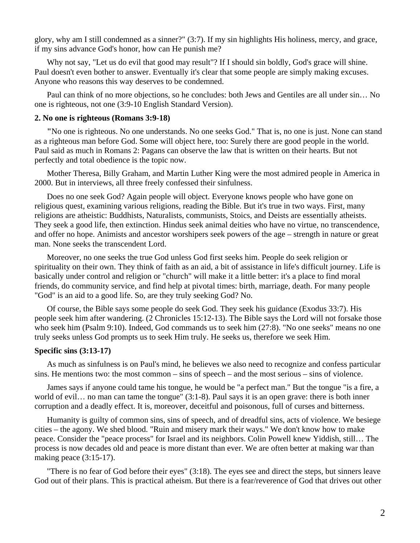glory, why am I still condemned as a sinner?" (3:7). If my sin highlights His holiness, mercy, and grace, if my sins advance God's honor, how can He punish me?

Why not say, "Let us do evil that good may result"? If I should sin boldly, God's grace will shine. Paul doesn't even bother to answer. Eventually it's clear that some people are simply making excuses. Anyone who reasons this way deserves to be condemned.

 Paul can think of no more objections, so he concludes: both Jews and Gentiles are all under sin… No one is righteous, not one (3:9-10 English Standard Version).

#### **2. No one is righteous (Romans 3:9-18)**

 **"**No one is righteous. No one understands. No one seeks God." That is, no one is just. None can stand as a righteous man before God. Some will object here, too: Surely there are good people in the world. Paul said as much in Romans 2: Pagans can observe the law that is written on their hearts. But not perfectly and total obedience is the topic now.

 Mother Theresa, Billy Graham, and Martin Luther King were the most admired people in America in 2000. But in interviews, all three freely confessed their sinfulness.

 Does no one seek God? Again people will object. Everyone knows people who have gone on religious quest, examining various religions, reading the Bible. But it's true in two ways. First, many religions are atheistic: Buddhists, Naturalists, communists, Stoics, and Deists are essentially atheists. They seek a good life, then extinction. Hindus seek animal deities who have no virtue, no transcendence, and offer no hope. Animists and ancestor worshipers seek powers of the age – strength in nature or great man. None seeks the transcendent Lord.

 Moreover, no one seeks the true God unless God first seeks him. People do seek religion or spirituality on their own. They think of faith as an aid, a bit of assistance in life's difficult journey. Life is basically under control and religion or "church" will make it a little better: it's a place to find moral friends, do community service, and find help at pivotal times: birth, marriage, death. For many people "God" is an aid to a good life. So, are they truly seeking God? No.

 Of course, the Bible says some people do seek God. They seek his guidance (Exodus 33:7). His people seek him after wandering. (2 Chronicles 15:12-13). The Bible says the Lord will not forsake those who seek him (Psalm 9:10). Indeed, God commands us to seek him (27:8). "No one seeks" means no one truly seeks unless God prompts us to seek Him truly. He seeks us, therefore we seek Him.

#### **Specific sins (3:13-17)**

 As much as sinfulness is on Paul's mind, he believes we also need to recognize and confess particular sins. He mentions two: the most common – sins of speech – and the most serious – sins of violence.

 James says if anyone could tame his tongue, he would be "a perfect man." But the tongue "is a fire, a world of evil… no man can tame the tongue" (3:1-8). Paul says it is an open grave: there is both inner corruption and a deadly effect. It is, moreover, deceitful and poisonous, full of curses and bitterness.

 Humanity is guilty of common sins, sins of speech, and of dreadful sins, acts of violence. We besiege cities – the agony. We shed blood. "Ruin and misery mark their ways." We don't know how to make peace. Consider the "peace process" for Israel and its neighbors. Colin Powell knew Yiddish, still… The process is now decades old and peace is more distant than ever. We are often better at making war than making peace (3:15-17).

 "There is no fear of God before their eyes" (3:18). The eyes see and direct the steps, but sinners leave God out of their plans. This is practical atheism. But there is a fear/reverence of God that drives out other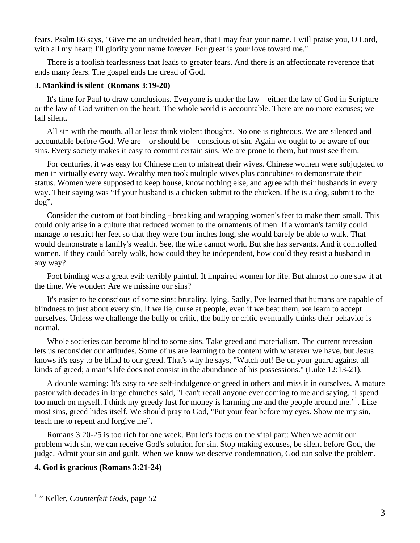fears. Psalm 86 says, "Give me an undivided heart, that I may fear your name. I will praise you, O Lord, with all my heart; I'll glorify your name forever. For great is your love toward me."

 There is a foolish fearlessness that leads to greater fears. And there is an affectionate reverence that ends many fears. The gospel ends the dread of God.

## **3. Mankind is silent (Romans 3:19-20)**

 It's time for Paul to draw conclusions. Everyone is under the law – either the law of God in Scripture or the law of God written on the heart. The whole world is accountable. There are no more excuses; we fall silent.

 All sin with the mouth, all at least think violent thoughts. No one is righteous. We are silenced and accountable before God. We are – or should be – conscious of sin. Again we ought to be aware of our sins. Every society makes it easy to commit certain sins. We are prone to them, but must see them.

 For centuries, it was easy for Chinese men to mistreat their wives. Chinese women were subjugated to men in virtually every way. Wealthy men took multiple wives plus concubines to demonstrate their status. Women were supposed to keep house, know nothing else, and agree with their husbands in every way. Their saying was "If your husband is a chicken submit to the chicken. If he is a dog, submit to the dog".

 Consider the custom of foot binding - breaking and wrapping women's feet to make them small. This could only arise in a culture that reduced women to the ornaments of men. If a woman's family could manage to restrict her feet so that they were four inches long, she would barely be able to walk. That would demonstrate a family's wealth. See, the wife cannot work. But she has servants. And it controlled women. If they could barely walk, how could they be independent, how could they resist a husband in any way?

Foot binding was a great evil: terribly painful. It impaired women for life. But almost no one saw it at the time. We wonder: Are we missing our sins?

 It's easier to be conscious of some sins: brutality, lying. Sadly, I've learned that humans are capable of blindness to just about every sin. If we lie, curse at people, even if we beat them, we learn to accept ourselves. Unless we challenge the bully or critic, the bully or critic eventually thinks their behavior is normal.

 Whole societies can become blind to some sins. Take greed and materialism. The current recession lets us reconsider our attitudes. Some of us are learning to be content with whatever we have, but Jesus knows it's easy to be blind to our greed. That's why he says, "Watch out! Be on your guard against all kinds of greed; a man's life does not consist in the abundance of his possessions." (Luke 12:13-21).

 A double warning: It's easy to see self-indulgence or greed in others and miss it in ourselves. A mature pastor with decades in large churches said, "I can't recall anyone ever coming to me and saying, 'I spend too much on myself. I think my greedy lust for money is harming me and the people around me.<sup>[1](#page-2-0)</sup>. Like most sins, greed hides itself. We should pray to God, "Put your fear before my eyes. Show me my sin, teach me to repent and forgive me".

 Romans 3:20-25 is too rich for one week. But let's focus on the vital part: When we admit our problem with sin, we can receive God's solution for sin. Stop making excuses, be silent before God, the judge. Admit your sin and guilt. When we know we deserve condemnation, God can solve the problem.

# **4. God is gracious (Romans 3:21-24)**

 $\overline{a}$ 

<span id="page-2-0"></span><sup>&</sup>lt;sup>1</sup> " Keller, *Counterfeit Gods*, page 52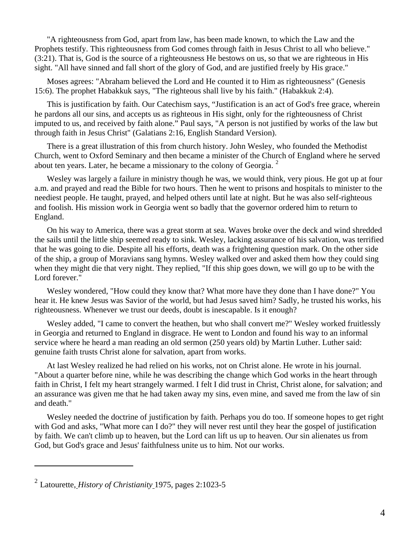"A righteousness from God, apart from law, has been made known, to which the Law and the Prophets testify. This righteousness from God comes through faith in Jesus Christ to all who believe." (3:21). That is, God is the source of a righteousness He bestows on us, so that we are righteous in His sight. "All have sinned and fall short of the glory of God, and are justified freely by His grace."

 Moses agrees: "Abraham believed the Lord and He counted it to Him as righteousness" (Genesis 15:6). The prophet Habakkuk says, "The righteous shall live by his faith." (Habakkuk 2:4).

 This is justification by faith. Our Catechism says, "Justification is an act of God's free grace, wherein he pardons all our sins, and accepts us as righteous in His sight, only for the righteousness of Christ imputed to us, and received by faith alone." Paul says, "A person is not justified by works of the law but through faith in Jesus Christ" (Galatians 2:16, English Standard Version).

 There is a great illustration of this from church history. John Wesley, who founded the Methodist Church, went to Oxford Seminary and then became a minister of the Church of England where he served about ten years. Later, he became a missionary to the colony of Georgia. <sup>[2](#page-3-0)</sup>

 Wesley was largely a failure in ministry though he was, we would think, very pious. He got up at four a.m. and prayed and read the Bible for two hours. Then he went to prisons and hospitals to minister to the neediest people. He taught, prayed, and helped others until late at night. But he was also self-righteous and foolish. His mission work in Georgia went so badly that the governor ordered him to return to England.

 On his way to America, there was a great storm at sea. Waves broke over the deck and wind shredded the sails until the little ship seemed ready to sink. Wesley, lacking assurance of his salvation, was terrified that he was going to die. Despite all his efforts, death was a frightening question mark. On the other side of the ship, a group of Moravians sang hymns. Wesley walked over and asked them how they could sing when they might die that very night. They replied, "If this ship goes down, we will go up to be with the Lord forever."

 Wesley wondered, "How could they know that? What more have they done than I have done?" You hear it. He knew Jesus was Savior of the world, but had Jesus saved him? Sadly, he trusted his works, his righteousness. Whenever we trust our deeds, doubt is inescapable. Is it enough?

 Wesley added, "I came to convert the heathen, but who shall convert me?" Wesley worked fruitlessly in Georgia and returned to England in disgrace. He went to London and found his way to an informal service where he heard a man reading an old sermon (250 years old) by Martin Luther. Luther said: genuine faith trusts Christ alone for salvation, apart from works.

 At last Wesley realized he had relied on his works, not on Christ alone. He wrote in his journal. "About a quarter before nine, while he was describing the change which God works in the heart through faith in Christ, I felt my heart strangely warmed. I felt I did trust in Christ, Christ alone, for salvation; and an assurance was given me that he had taken away my sins, even mine, and saved me from the law of sin and death."

 Wesley needed the doctrine of justification by faith. Perhaps you do too. If someone hopes to get right with God and asks, "What more can I do?" they will never rest until they hear the gospel of justification by faith. We can't climb up to heaven, but the Lord can lift us up to heaven. Our sin alienates us from God, but God's grace and Jesus' faithfulness unite us to him. Not our works.

l

<span id="page-3-0"></span><sup>2</sup> Latourette, *History of Christianity* 1975, pages 2:1023-5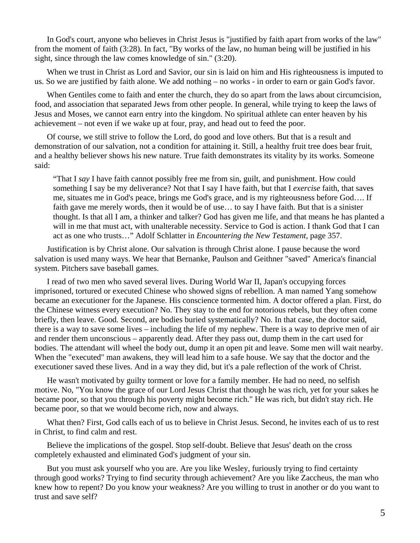In God's court, anyone who believes in Christ Jesus is "justified by faith apart from works of the law" from the moment of faith (3:28). In fact, "By works of the law, no human being will be justified in his sight, since through the law comes knowledge of sin." (3:20).

 When we trust in Christ as Lord and Savior, our sin is laid on him and His righteousness is imputed to us. So we are justified by faith alone. We add nothing – no works - in order to earn or gain God's favor.

When Gentiles come to faith and enter the church, they do so apart from the laws about circumcision, food, and association that separated Jews from other people. In general, while trying to keep the laws of Jesus and Moses, we cannot earn entry into the kingdom. No spiritual athlete can enter heaven by his achievement – not even if we wake up at four, pray, and head out to feed the poor.

 Of course, we still strive to follow the Lord, do good and love others. But that is a result and demonstration of our salvation, not a condition for attaining it. Still, a healthy fruit tree does bear fruit, and a healthy believer shows his new nature. True faith demonstrates its vitality by its works. Someone said:

"That I *say* I have faith cannot possibly free me from sin, guilt, and punishment. How could something I say be my deliverance? Not that I say I have faith, but that I *exercise* faith, that saves me, situates me in God's peace, brings me God's grace, and is my righteousness before God…. If faith gave me merely words, then it would be of use… to say I have faith. But that is a sinister thought. Is that all I am, a thinker and talker? God has given me life, and that means he has planted a will in me that must act, with unalterable necessity. Service to God is action. I thank God that I can act as one who trusts…" Adolf Schlatter in *Encountering the New Testament,* page 357.

 Justification is by Christ alone. Our salvation is through Christ alone. I pause because the word salvation is used many ways. We hear that Bernanke, Paulson and Geithner "saved" America's financial system. Pitchers save baseball games.

 I read of two men who saved several lives. During World War II, Japan's occupying forces imprisoned, tortured or executed Chinese who showed signs of rebellion. A man named Yang somehow became an executioner for the Japanese. His conscience tormented him. A doctor offered a plan. First, do the Chinese witness every execution? No. They stay to the end for notorious rebels, but they often come briefly, then leave. Good. Second, are bodies buried systematically? No. In that case, the doctor said, there is a way to save some lives – including the life of my nephew. There is a way to deprive men of air and render them unconscious – apparently dead. After they pass out, dump them in the cart used for bodies. The attendant will wheel the body out, dump it an open pit and leave. Some men will wait nearby. When the "executed" man awakens, they will lead him to a safe house. We say that the doctor and the executioner saved these lives. And in a way they did, but it's a pale reflection of the work of Christ.

 He wasn't motivated by guilty torment or love for a family member. He had no need, no selfish motive. No, "You know the grace of our Lord Jesus Christ that though he was rich, yet for your sakes he became poor, so that you through his poverty might become rich." He was rich, but didn't stay rich. He became poor, so that we would become rich, now and always.

 What then? First, God calls each of us to believe in Christ Jesus. Second, he invites each of us to rest in Christ, to find calm and rest.

 Believe the implications of the gospel. Stop self-doubt. Believe that Jesus' death on the cross completely exhausted and eliminated God's judgment of your sin.

 But you must ask yourself who you are. Are you like Wesley, furiously trying to find certainty through good works? Trying to find security through achievement? Are you like Zaccheus, the man who knew how to repent? Do you know your weakness? Are you willing to trust in another or do you want to trust and save self?